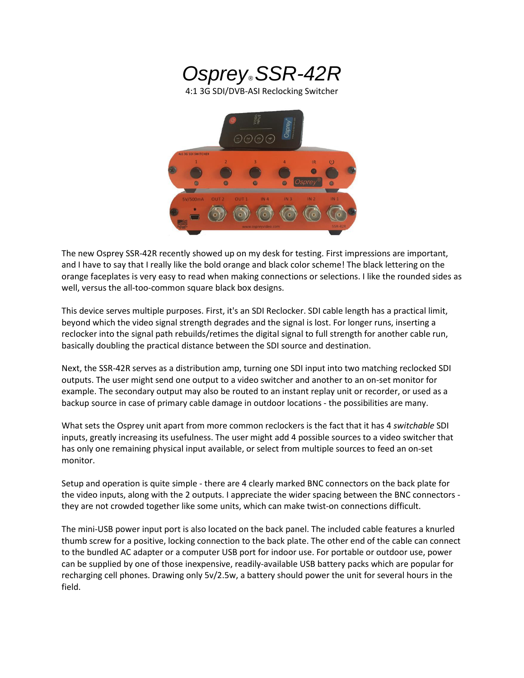

The new Osprey SSR-42R recently showed up on my desk for testing. First impressions are important, and I have to say that I really like the bold orange and black color scheme! The black lettering on the orange faceplates is very easy to read when making connections or selections. I like the rounded sides as well, versus the all-too-common square black box designs.

This device serves multiple purposes. First, it's an SDI Reclocker. SDI cable length has a practical limit, beyond which the video signal strength degrades and the signal is lost. For longer runs, inserting a reclocker into the signal path rebuilds/retimes the digital signal to full strength for another cable run, basically doubling the practical distance between the SDI source and destination.

Next, the SSR-42R serves as a distribution amp, turning one SDI input into two matching reclocked SDI outputs. The user might send one output to a video switcher and another to an on-set monitor for example. The secondary output may also be routed to an instant replay unit or recorder, or used as a backup source in case of primary cable damage in outdoor locations - the possibilities are many.

What sets the Osprey unit apart from more common reclockers is the fact that it has 4 *switchable* SDI inputs, greatly increasing its usefulness. The user might add 4 possible sources to a video switcher that has only one remaining physical input available, or select from multiple sources to feed an on-set monitor.

Setup and operation is quite simple - there are 4 clearly marked BNC connectors on the back plate for the video inputs, along with the 2 outputs. I appreciate the wider spacing between the BNC connectors they are not crowded together like some units, which can make twist-on connections difficult.

The mini-USB power input port is also located on the back panel. The included cable features a knurled thumb screw for a positive, locking connection to the back plate. The other end of the cable can connect to the bundled AC adapter or a computer USB port for indoor use. For portable or outdoor use, power can be supplied by one of those inexpensive, readily-available USB battery packs which are popular for recharging cell phones. Drawing only 5v/2.5w, a battery should power the unit for several hours in the field.